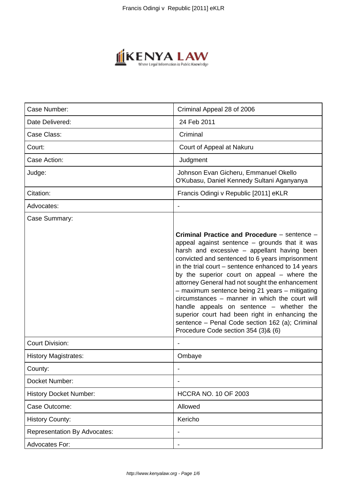

| Case Number:                        | Criminal Appeal 28 of 2006                                                                                                                                                                                                                                                                                                                                                                                                                                                                                                                                                                                                                          |
|-------------------------------------|-----------------------------------------------------------------------------------------------------------------------------------------------------------------------------------------------------------------------------------------------------------------------------------------------------------------------------------------------------------------------------------------------------------------------------------------------------------------------------------------------------------------------------------------------------------------------------------------------------------------------------------------------------|
| Date Delivered:                     | 24 Feb 2011                                                                                                                                                                                                                                                                                                                                                                                                                                                                                                                                                                                                                                         |
| Case Class:                         | Criminal                                                                                                                                                                                                                                                                                                                                                                                                                                                                                                                                                                                                                                            |
| Court:                              | Court of Appeal at Nakuru                                                                                                                                                                                                                                                                                                                                                                                                                                                                                                                                                                                                                           |
| Case Action:                        | Judgment                                                                                                                                                                                                                                                                                                                                                                                                                                                                                                                                                                                                                                            |
| Judge:                              | Johnson Evan Gicheru, Emmanuel Okello<br>O'Kubasu, Daniel Kennedy Sultani Aganyanya                                                                                                                                                                                                                                                                                                                                                                                                                                                                                                                                                                 |
| Citation:                           | Francis Odingi v Republic [2011] eKLR                                                                                                                                                                                                                                                                                                                                                                                                                                                                                                                                                                                                               |
| Advocates:                          |                                                                                                                                                                                                                                                                                                                                                                                                                                                                                                                                                                                                                                                     |
| Case Summary:                       |                                                                                                                                                                                                                                                                                                                                                                                                                                                                                                                                                                                                                                                     |
|                                     | Criminal Practice and Procedure - sentence -<br>appeal against sentence - grounds that it was<br>harsh and excessive - appellant having been<br>convicted and sentenced to 6 years imprisonment<br>in the trial court – sentence enhanced to 14 years<br>by the superior court on appeal – where the<br>attorney General had not sought the enhancement<br>- maximum sentence being 21 years - mitigating<br>circumstances - manner in which the court will<br>handle appeals on sentence - whether the<br>superior court had been right in enhancing the<br>sentence - Penal Code section 162 (a); Criminal<br>Procedure Code section 354 (3)& (6) |
| <b>Court Division:</b>              |                                                                                                                                                                                                                                                                                                                                                                                                                                                                                                                                                                                                                                                     |
| <b>History Magistrates:</b>         | Ombaye                                                                                                                                                                                                                                                                                                                                                                                                                                                                                                                                                                                                                                              |
| County:                             |                                                                                                                                                                                                                                                                                                                                                                                                                                                                                                                                                                                                                                                     |
| Docket Number:                      |                                                                                                                                                                                                                                                                                                                                                                                                                                                                                                                                                                                                                                                     |
| <b>History Docket Number:</b>       | <b>HCCRA NO. 10 OF 2003</b>                                                                                                                                                                                                                                                                                                                                                                                                                                                                                                                                                                                                                         |
| Case Outcome:                       | Allowed                                                                                                                                                                                                                                                                                                                                                                                                                                                                                                                                                                                                                                             |
| <b>History County:</b>              | Kericho                                                                                                                                                                                                                                                                                                                                                                                                                                                                                                                                                                                                                                             |
| <b>Representation By Advocates:</b> |                                                                                                                                                                                                                                                                                                                                                                                                                                                                                                                                                                                                                                                     |
| Advocates For:                      |                                                                                                                                                                                                                                                                                                                                                                                                                                                                                                                                                                                                                                                     |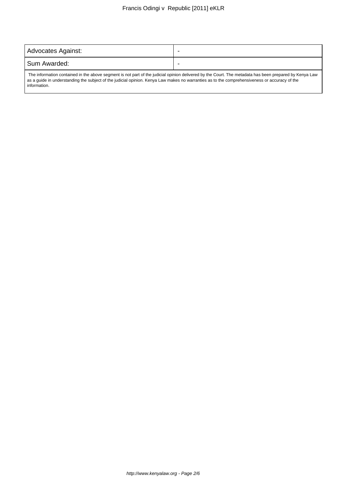| Advocates Against:                                                                                                                                             |  |
|----------------------------------------------------------------------------------------------------------------------------------------------------------------|--|
| Sum Awarded:                                                                                                                                                   |  |
| $\Box$ The information contained in the above commant is not next of the iveligial enjoine delivered by the Court. The motedate has been prepared by Kenya Low |  |

 The information contained in the above segment is not part of the judicial opinion delivered by the Court. The metadata has been prepared by Kenya Law as a guide in understanding the subject of the judicial opinion. Kenya Law makes no warranties as to the comprehensiveness or accuracy of the information.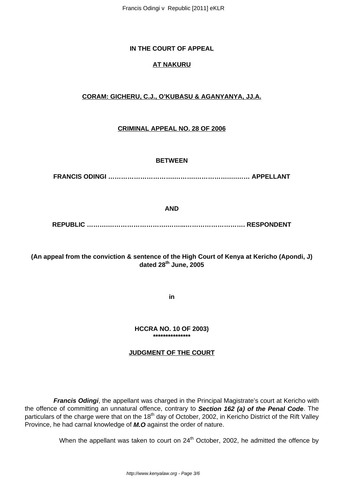Francis Odingi v Republic [2011] eKLR

### **IN THE COURT OF APPEAL**

# **AT NAKURU**

# **CORAM: GICHERU, C.J., O'KUBASU & AGANYANYA, JJ.A.**

### **CRIMINAL APPEAL NO. 28 OF 2006**

#### **BETWEEN**

**FRANCIS ODINGI ………………………….……….…………….….…… APPELLANT**

**AND**

**REPUBLIC ……….……………………….……...………………………. RESPONDENT**

## **(An appeal from the conviction & sentence of the High Court of Kenya at Kericho (Apondi, J) dated 28th June, 2005**

**in**

**HCCRA NO. 10 OF 2003) \*\*\*\*\*\*\*\*\*\*\*\*\*\*\***

## **JUDGMENT OF THE COURT**

**Francis Odingi**, the appellant was charged in the Principal Magistrate's court at Kericho with the offence of committing an unnatural offence, contrary to **Section 162 (a) of the Penal Code**. The particulars of the charge were that on the 18<sup>th</sup> day of October, 2002, in Kericho District of the Rift Valley Province, he had carnal knowledge of **M.O** against the order of nature.

When the appellant was taken to court on  $24<sup>th</sup>$  October, 2002, he admitted the offence by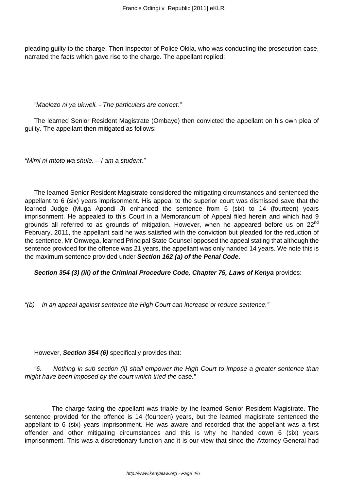pleading guilty to the charge. Then Inspector of Police Okila, who was conducting the prosecution case, narrated the facts which gave rise to the charge. The appellant replied:

"Maelezo ni ya ukweli. - The particulars are correct."

The learned Senior Resident Magistrate (Ombaye) then convicted the appellant on his own plea of guilty. The appellant then mitigated as follows:

"Mimi ni mtoto wa shule. – I am a student."

The learned Senior Resident Magistrate considered the mitigating circumstances and sentenced the appellant to 6 (six) years imprisonment. His appeal to the superior court was dismissed save that the learned Judge (Muga Apondi J) enhanced the sentence from 6 (six) to 14 (fourteen) years imprisonment. He appealed to this Court in a Memorandum of Appeal filed herein and which had 9 grounds all referred to as grounds of mitigation. However, when he appeared before us on 22<sup>nd</sup> February, 2011, the appellant said he was satisfied with the conviction but pleaded for the reduction of the sentence. Mr Omwega, learned Principal State Counsel opposed the appeal stating that although the sentence provided for the offence was 21 years, the appellant was only handed 14 years. We note this is the maximum sentence provided under **Section 162 (a) of the Penal Code**.

**Section 354 (3) (iii) of the Criminal Procedure Code, Chapter 75, Laws of Kenya** provides:

"(b) In an appeal against sentence the High Court can increase or reduce sentence."

However, **Section 354 (6)** specifically provides that:

"6. Nothing in sub section (ii) shall empower the High Court to impose a greater sentence than might have been imposed by the court which tried the case."

 The charge facing the appellant was triable by the learned Senior Resident Magistrate. The sentence provided for the offence is 14 (fourteen) years, but the learned magistrate sentenced the appellant to 6 (six) years imprisonment. He was aware and recorded that the appellant was a first offender and other mitigating circumstances and this is why he handed down 6 (six) years imprisonment. This was a discretionary function and it is our view that since the Attorney General had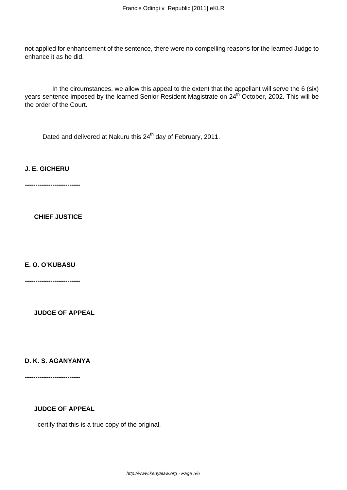not applied for enhancement of the sentence, there were no compelling reasons for the learned Judge to enhance it as he did.

 In the circumstances, we allow this appeal to the extent that the appellant will serve the 6 (six) years sentence imposed by the learned Senior Resident Magistrate on 24<sup>th</sup> October, 2002. This will be the order of the Court.

Dated and delivered at Nakuru this 24<sup>th</sup> day of February, 2011.

**J. E. GICHERU**

**--------------------------**

**CHIEF JUSTICE**

**E. O. O'KUBASU**

**--------------------------**

**JUDGE OF APPEAL**

**D. K. S. AGANYANYA**

**--------------------------**

#### **JUDGE OF APPEAL**

I certify that this is a true copy of the original.